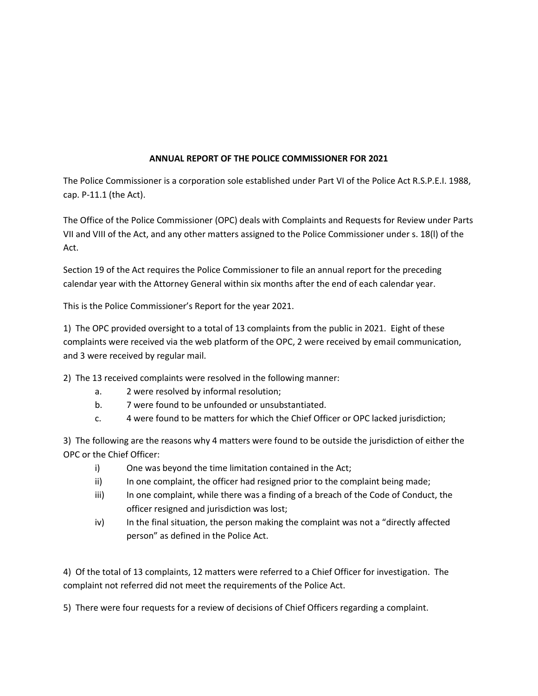## **ANNUAL REPORT OF THE POLICE COMMISSIONER FOR 2021**

The Police Commissioner is a corporation sole established under Part VI of the Police Act R.S.P.E.I. 1988, cap. P-11.1 (the Act).

The Office of the Police Commissioner (OPC) deals with Complaints and Requests for Review under Parts VII and VIII of the Act, and any other matters assigned to the Police Commissioner under s. 18(l) of the Act.

Section 19 of the Act requires the Police Commissioner to file an annual report for the preceding calendar year with the Attorney General within six months after the end of each calendar year.

This is the Police Commissioner's Report for the year 2021.

1) The OPC provided oversight to a total of 13 complaints from the public in 2021. Eight of these complaints were received via the web platform of the OPC, 2 were received by email communication, and 3 were received by regular mail.

2) The 13 received complaints were resolved in the following manner:

- a. 2 were resolved by informal resolution;
- b. 7 were found to be unfounded or unsubstantiated.
- c. 4 were found to be matters for which the Chief Officer or OPC lacked jurisdiction;

3) The following are the reasons why 4 matters were found to be outside the jurisdiction of either the OPC or the Chief Officer:

- i) One was beyond the time limitation contained in the Act;
- ii) In one complaint, the officer had resigned prior to the complaint being made;
- iii) In one complaint, while there was a finding of a breach of the Code of Conduct, the officer resigned and jurisdiction was lost;
- iv) In the final situation, the person making the complaint was not a "directly affected person" as defined in the Police Act.

4) Of the total of 13 complaints, 12 matters were referred to a Chief Officer for investigation. The complaint not referred did not meet the requirements of the Police Act.

5) There were four requests for a review of decisions of Chief Officers regarding a complaint.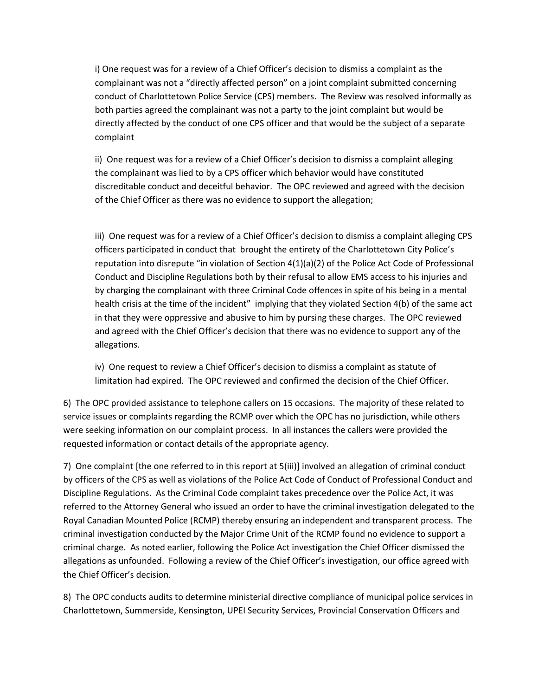i) One request was for a review of a Chief Officer's decision to dismiss a complaint as the complainant was not a "directly affected person" on a joint complaint submitted concerning conduct of Charlottetown Police Service (CPS) members. The Review was resolved informally as both parties agreed the complainant was not a party to the joint complaint but would be directly affected by the conduct of one CPS officer and that would be the subject of a separate complaint

ii) One request was for a review of a Chief Officer's decision to dismiss a complaint alleging the complainant was lied to by a CPS officer which behavior would have constituted discreditable conduct and deceitful behavior. The OPC reviewed and agreed with the decision of the Chief Officer as there was no evidence to support the allegation;

iii) One request was for a review of a Chief Officer's decision to dismiss a complaint alleging CPS officers participated in conduct that brought the entirety of the Charlottetown City Police's reputation into disrepute "in violation of Section 4(1)(a)(2) of the Police Act Code of Professional Conduct and Discipline Regulations both by their refusal to allow EMS access to his injuries and by charging the complainant with three Criminal Code offences in spite of his being in a mental health crisis at the time of the incident" implying that they violated Section 4(b) of the same act in that they were oppressive and abusive to him by pursing these charges. The OPC reviewed and agreed with the Chief Officer's decision that there was no evidence to support any of the allegations.

iv) One request to review a Chief Officer's decision to dismiss a complaint as statute of limitation had expired. The OPC reviewed and confirmed the decision of the Chief Officer.

6) The OPC provided assistance to telephone callers on 15 occasions. The majority of these related to service issues or complaints regarding the RCMP over which the OPC has no jurisdiction, while others were seeking information on our complaint process. In all instances the callers were provided the requested information or contact details of the appropriate agency.

7) One complaint [the one referred to in this report at 5(iii)] involved an allegation of criminal conduct by officers of the CPS as well as violations of the Police Act Code of Conduct of Professional Conduct and Discipline Regulations. As the Criminal Code complaint takes precedence over the Police Act, it was referred to the Attorney General who issued an order to have the criminal investigation delegated to the Royal Canadian Mounted Police (RCMP) thereby ensuring an independent and transparent process. The criminal investigation conducted by the Major Crime Unit of the RCMP found no evidence to support a criminal charge. As noted earlier, following the Police Act investigation the Chief Officer dismissed the allegations as unfounded. Following a review of the Chief Officer's investigation, our office agreed with the Chief Officer's decision.

8) The OPC conducts audits to determine ministerial directive compliance of municipal police services in Charlottetown, Summerside, Kensington, UPEI Security Services, Provincial Conservation Officers and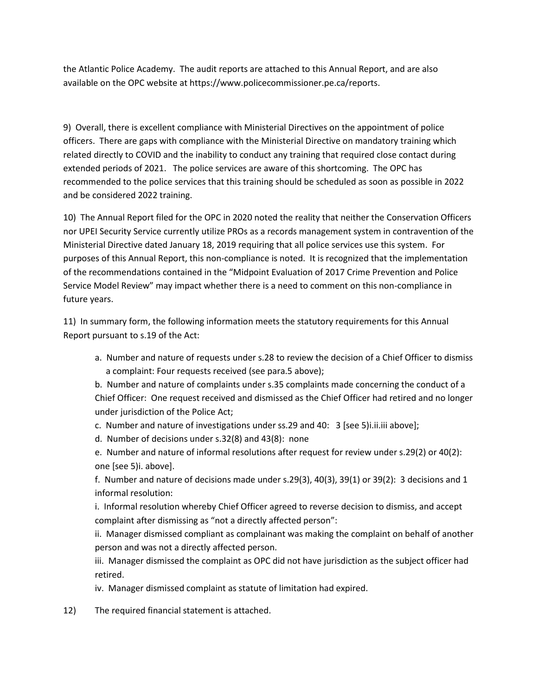the Atlantic Police Academy. The audit reports are attached to this Annual Report, and are also available on the OPC website at https://www.policecommissioner.pe.ca/reports.

9) Overall, there is excellent compliance with Ministerial Directives on the appointment of police officers. There are gaps with compliance with the Ministerial Directive on mandatory training which related directly to COVID and the inability to conduct any training that required close contact during extended periods of 2021. The police services are aware of this shortcoming. The OPC has recommended to the police services that this training should be scheduled as soon as possible in 2022 and be considered 2022 training.

10) The Annual Report filed for the OPC in 2020 noted the reality that neither the Conservation Officers nor UPEI Security Service currently utilize PROs as a records management system in contravention of the Ministerial Directive dated January 18, 2019 requiring that all police services use this system. For purposes of this Annual Report, this non-compliance is noted. It is recognized that the implementation of the recommendations contained in the "Midpoint Evaluation of 2017 Crime Prevention and Police Service Model Review" may impact whether there is a need to comment on this non-compliance in future years.

11) In summary form, the following information meets the statutory requirements for this Annual Report pursuant to s.19 of the Act:

a. Number and nature of requests under s.28 to review the decision of a Chief Officer to dismiss a complaint: Four requests received (see para.5 above);

b. Number and nature of complaints under s.35 complaints made concerning the conduct of a Chief Officer: One request received and dismissed as the Chief Officer had retired and no longer under jurisdiction of the Police Act;

- c. Number and nature of investigations under ss.29 and 40: 3 [see 5)i.ii.iii above];
- d. Number of decisions under s.32(8) and 43(8): none

e. Number and nature of informal resolutions after request for review under s.29(2) or 40(2): one [see 5)i. above].

f. Number and nature of decisions made under s.29(3), 40(3), 39(1) or 39(2): 3 decisions and 1 informal resolution:

i. Informal resolution whereby Chief Officer agreed to reverse decision to dismiss, and accept complaint after dismissing as "not a directly affected person":

ii. Manager dismissed compliant as complainant was making the complaint on behalf of another person and was not a directly affected person.

iii. Manager dismissed the complaint as OPC did not have jurisdiction as the subject officer had retired.

iv. Manager dismissed complaint as statute of limitation had expired.

12) The required financial statement is attached.